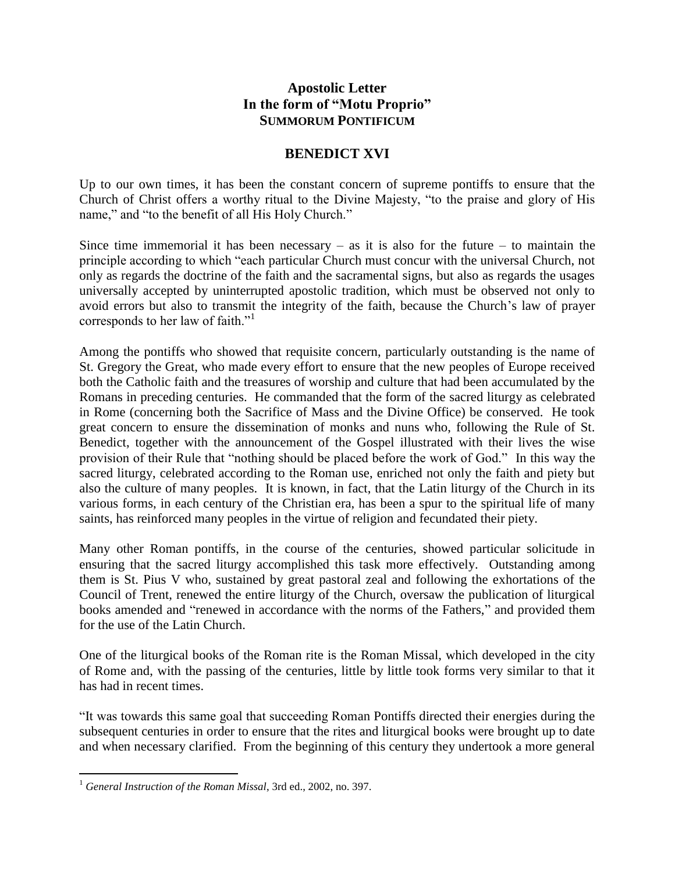## **Apostolic Letter In the form of "Motu Proprio" SUMMORUM PONTIFICUM**

## **BENEDICT XVI**

Up to our own times, it has been the constant concern of supreme pontiffs to ensure that the Church of Christ offers a worthy ritual to the Divine Majesty, "to the praise and glory of His name," and "to the benefit of all His Holy Church."

Since time immemorial it has been necessary  $-$  as it is also for the future  $-$  to maintain the principle according to which "each particular Church must concur with the universal Church, not only as regards the doctrine of the faith and the sacramental signs, but also as regards the usages universally accepted by uninterrupted apostolic tradition, which must be observed not only to avoid errors but also to transmit the integrity of the faith, because the Church's law of prayer corresponds to her law of faith."<sup>1</sup>

Among the pontiffs who showed that requisite concern, particularly outstanding is the name of St. Gregory the Great, who made every effort to ensure that the new peoples of Europe received both the Catholic faith and the treasures of worship and culture that had been accumulated by the Romans in preceding centuries. He commanded that the form of the sacred liturgy as celebrated in Rome (concerning both the Sacrifice of Mass and the Divine Office) be conserved. He took great concern to ensure the dissemination of monks and nuns who, following the Rule of St. Benedict, together with the announcement of the Gospel illustrated with their lives the wise provision of their Rule that "nothing should be placed before the work of God." In this way the sacred liturgy, celebrated according to the Roman use, enriched not only the faith and piety but also the culture of many peoples. It is known, in fact, that the Latin liturgy of the Church in its various forms, in each century of the Christian era, has been a spur to the spiritual life of many saints, has reinforced many peoples in the virtue of religion and fecundated their piety.

Many other Roman pontiffs, in the course of the centuries, showed particular solicitude in ensuring that the sacred liturgy accomplished this task more effectively. Outstanding among them is St. Pius V who, sustained by great pastoral zeal and following the exhortations of the Council of Trent, renewed the entire liturgy of the Church, oversaw the publication of liturgical books amended and "renewed in accordance with the norms of the Fathers," and provided them for the use of the Latin Church.

One of the liturgical books of the Roman rite is the Roman Missal, which developed in the city of Rome and, with the passing of the centuries, little by little took forms very similar to that it has had in recent times.

"It was towards this same goal that succeeding Roman Pontiffs directed their energies during the subsequent centuries in order to ensure that the rites and liturgical books were brought up to date and when necessary clarified. From the beginning of this century they undertook a more general

 $\overline{a}$ 

<sup>1</sup> *General Instruction of the Roman Missal*, 3rd ed., 2002, no. 397.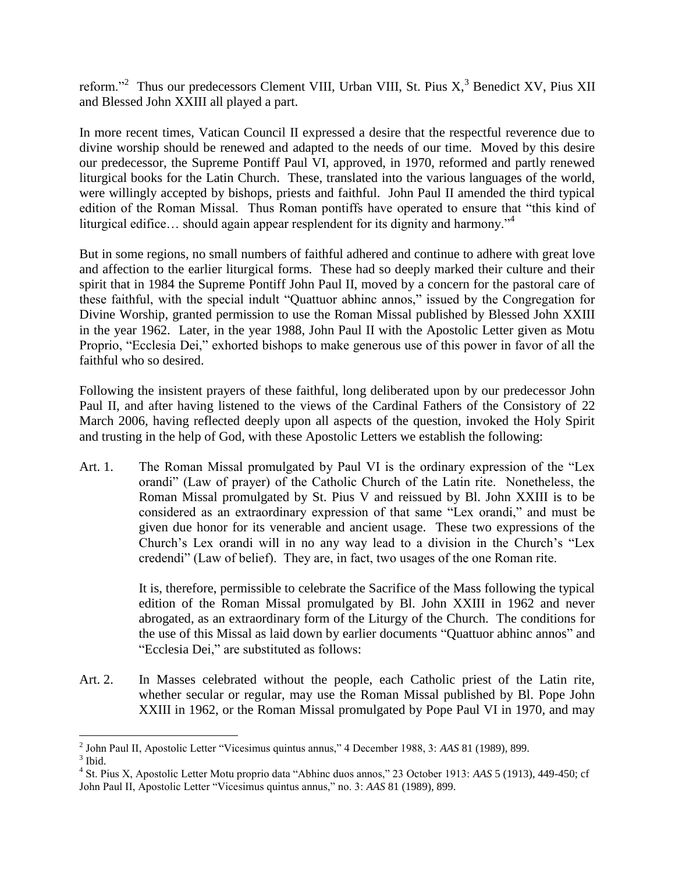reform."<sup>2</sup> Thus our predecessors Clement VIII, Urban VIII, St. Pius  $X$ ,<sup>3</sup> Benedict XV, Pius XII and Blessed John XXIII all played a part.

In more recent times, Vatican Council II expressed a desire that the respectful reverence due to divine worship should be renewed and adapted to the needs of our time. Moved by this desire our predecessor, the Supreme Pontiff Paul VI, approved, in 1970, reformed and partly renewed liturgical books for the Latin Church. These, translated into the various languages of the world, were willingly accepted by bishops, priests and faithful. John Paul II amended the third typical edition of the Roman Missal. Thus Roman pontiffs have operated to ensure that "this kind of liturgical edifice... should again appear resplendent for its dignity and harmony."<sup>4</sup>

But in some regions, no small numbers of faithful adhered and continue to adhere with great love and affection to the earlier liturgical forms. These had so deeply marked their culture and their spirit that in 1984 the Supreme Pontiff John Paul II, moved by a concern for the pastoral care of these faithful, with the special indult "Quattuor abhinc annos," issued by the Congregation for Divine Worship, granted permission to use the Roman Missal published by Blessed John XXIII in the year 1962. Later, in the year 1988, John Paul II with the Apostolic Letter given as Motu Proprio, "Ecclesia Dei," exhorted bishops to make generous use of this power in favor of all the faithful who so desired.

Following the insistent prayers of these faithful, long deliberated upon by our predecessor John Paul II, and after having listened to the views of the Cardinal Fathers of the Consistory of 22 March 2006, having reflected deeply upon all aspects of the question, invoked the Holy Spirit and trusting in the help of God, with these Apostolic Letters we establish the following:

Art. 1. The Roman Missal promulgated by Paul VI is the ordinary expression of the "Lex orandi" (Law of prayer) of the Catholic Church of the Latin rite. Nonetheless, the Roman Missal promulgated by St. Pius V and reissued by Bl. John XXIII is to be considered as an extraordinary expression of that same "Lex orandi," and must be given due honor for its venerable and ancient usage. These two expressions of the Church's Lex orandi will in no any way lead to a division in the Church's "Lex credendi" (Law of belief). They are, in fact, two usages of the one Roman rite.

> It is, therefore, permissible to celebrate the Sacrifice of the Mass following the typical edition of the Roman Missal promulgated by Bl. John XXIII in 1962 and never abrogated, as an extraordinary form of the Liturgy of the Church. The conditions for the use of this Missal as laid down by earlier documents "Quattuor abhinc annos" and "Ecclesia Dei," are substituted as follows:

Art. 2. In Masses celebrated without the people, each Catholic priest of the Latin rite, whether secular or regular, may use the Roman Missal published by Bl. Pope John XXIII in 1962, or the Roman Missal promulgated by Pope Paul VI in 1970, and may

 2 John Paul II, Apostolic Letter "Vicesimus quintus annus," 4 December 1988, 3: *AAS* 81 (1989), 899.

 $3$  Ibid.

<sup>4</sup> St. Pius X, Apostolic Letter Motu proprio data "Abhinc duos annos," 23 October 1913: *AAS* 5 (1913), 449-450; cf John Paul II, Apostolic Letter "Vicesimus quintus annus," no. 3: *AAS* 81 (1989), 899.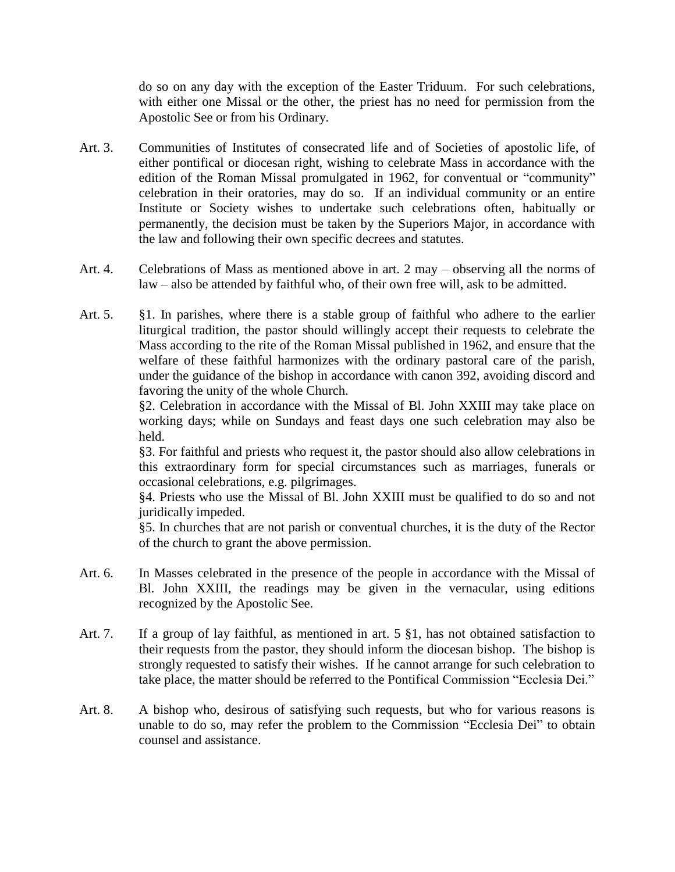do so on any day with the exception of the Easter Triduum. For such celebrations, with either one Missal or the other, the priest has no need for permission from the Apostolic See or from his Ordinary.

- Art. 3. Communities of Institutes of consecrated life and of Societies of apostolic life, of either pontifical or diocesan right, wishing to celebrate Mass in accordance with the edition of the Roman Missal promulgated in 1962, for conventual or "community" celebration in their oratories, may do so. If an individual community or an entire Institute or Society wishes to undertake such celebrations often, habitually or permanently, the decision must be taken by the Superiors Major, in accordance with the law and following their own specific decrees and statutes.
- Art. 4. Celebrations of Mass as mentioned above in art. 2 may observing all the norms of law – also be attended by faithful who, of their own free will, ask to be admitted.
- Art. 5. §1. In parishes, where there is a stable group of faithful who adhere to the earlier liturgical tradition, the pastor should willingly accept their requests to celebrate the Mass according to the rite of the Roman Missal published in 1962, and ensure that the welfare of these faithful harmonizes with the ordinary pastoral care of the parish, under the guidance of the bishop in accordance with canon 392, avoiding discord and favoring the unity of the whole Church.

§2. Celebration in accordance with the Missal of Bl. John XXIII may take place on working days; while on Sundays and feast days one such celebration may also be held.

§3. For faithful and priests who request it, the pastor should also allow celebrations in this extraordinary form for special circumstances such as marriages, funerals or occasional celebrations, e.g. pilgrimages.

§4. Priests who use the Missal of Bl. John XXIII must be qualified to do so and not juridically impeded.

§5. In churches that are not parish or conventual churches, it is the duty of the Rector of the church to grant the above permission.

- Art. 6. In Masses celebrated in the presence of the people in accordance with the Missal of Bl. John XXIII, the readings may be given in the vernacular, using editions recognized by the Apostolic See.
- Art. 7. If a group of lay faithful, as mentioned in art. 5  $\S1$ , has not obtained satisfaction to their requests from the pastor, they should inform the diocesan bishop. The bishop is strongly requested to satisfy their wishes. If he cannot arrange for such celebration to take place, the matter should be referred to the Pontifical Commission "Ecclesia Dei."
- Art. 8. A bishop who, desirous of satisfying such requests, but who for various reasons is unable to do so, may refer the problem to the Commission "Ecclesia Dei" to obtain counsel and assistance.